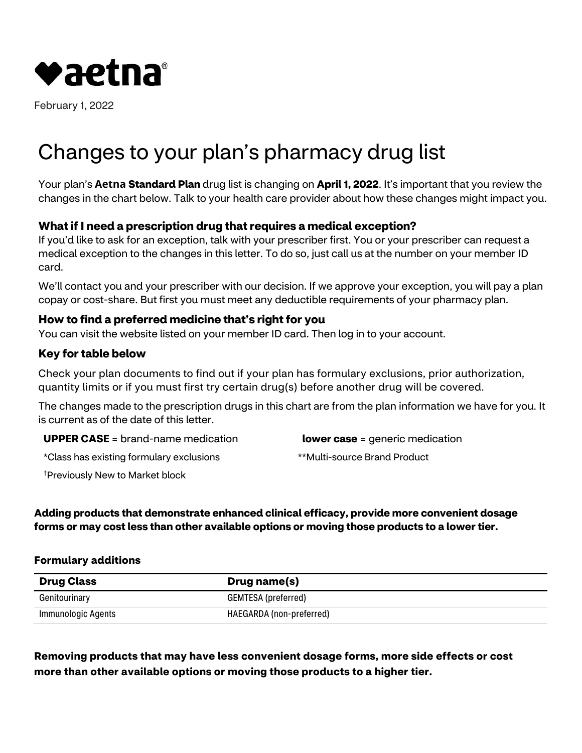

February 1, 2022

# Changes to your plan's pharmacy drug list

Your plan's **Aetna Standard Plan** drug list is changing on **April 1, 2022**. It's important that you review the changes in the chart below. Talk to your health care provider about how these changes might impact you.

## **What if I need a prescription drug that requires a medical exception?**

If you'd like to ask for an exception, talk with your prescriber first. You or your prescriber can request a medical exception to the changes in this letter. To do so, just call us at the number on your member ID card.

We'll contact you and your prescriber with our decision. If we approve your exception, you will pay a plan copay or cost-share. But first you must meet any deductible requirements of your pharmacy plan.

### **How to find a preferred medicine that's right for you**

You can visit the website listed on your member ID card. Then log in to your account.

#### **Key for table below**

Check your plan documents to find out if your plan has formulary exclusions, prior authorization, quantity limits or if you must first try certain drug(s) before another drug will be covered.

The changes made to the prescription drugs in this chart are from the plan information we have for you. It is current as of the date of this letter.

**UPPER CASE** = brand-name medication

**lower case** = generic medication

\*Class has existing formulary exclusions

\*\*Multi-source Brand Product

† Previously New to Market block

**Adding products that demonstrate enhanced clinical efficacy, provide more convenient dosage forms or may cost less than other available options or moving those products to a lower tier.** 

#### **Formulary additions**

| <b>Drug Class</b>  | <b>Drug name(s)</b>      |
|--------------------|--------------------------|
| Genitourinary      | GEMTESA (preferred)      |
| Immunologic Agents | HAEGARDA (non-preferred) |

**Removing products that may have less convenient dosage forms, more side effects or cost more than other available options or moving those products to a higher tier.**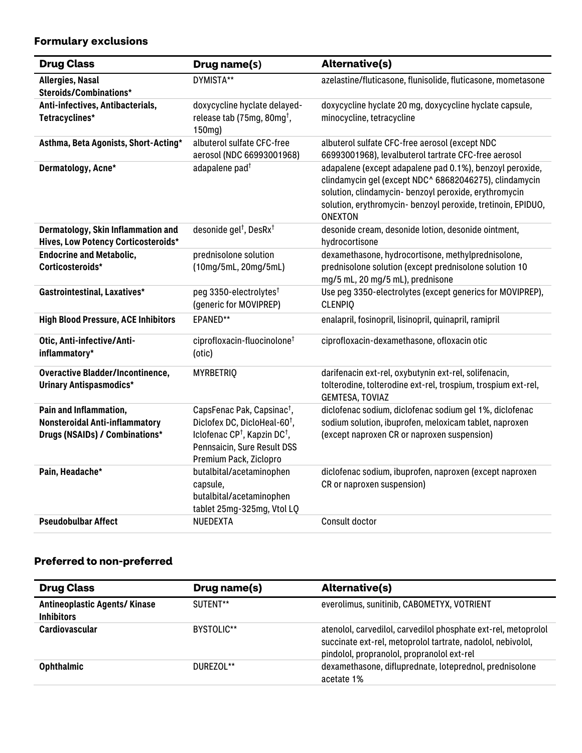# **Formulary exclusions**

| <b>Drug Class</b>                                                         | Drug name(s)                                                                                                  | <b>Alternative(s)</b>                                                                                                                                                                                                                                         |
|---------------------------------------------------------------------------|---------------------------------------------------------------------------------------------------------------|---------------------------------------------------------------------------------------------------------------------------------------------------------------------------------------------------------------------------------------------------------------|
| Allergies, Nasal                                                          | DYMISTA**                                                                                                     | azelastine/fluticasone, flunisolide, fluticasone, mometasone                                                                                                                                                                                                  |
| Steroids/Combinations*                                                    |                                                                                                               |                                                                                                                                                                                                                                                               |
| Anti-infectives, Antibacterials,                                          | doxycycline hyclate delayed-                                                                                  | doxycycline hyclate 20 mg, doxycycline hyclate capsule,                                                                                                                                                                                                       |
| Tetracyclines*                                                            | release tab (75mg, 80mg <sup>†</sup> ,<br>150mg)                                                              | minocycline, tetracycline                                                                                                                                                                                                                                     |
| Asthma, Beta Agonists, Short-Acting*                                      | albuterol sulfate CFC-free<br>aerosol (NDC 66993001968)                                                       | albuterol sulfate CFC-free aerosol (except NDC<br>66993001968), levalbuterol tartrate CFC-free aerosol                                                                                                                                                        |
| Dermatology, Acne*                                                        | adapalene pad <sup>+</sup>                                                                                    | adapalene (except adapalene pad 0.1%), benzoyl peroxide,<br>clindamycin gel (except NDC^ 68682046275), clindamycin<br>solution, clindamycin- benzoyl peroxide, erythromycin<br>solution, erythromycin- benzoyl peroxide, tretinoin, EPIDUO,<br><b>ONEXTON</b> |
| Dermatology, Skin Inflammation and<br>Hives, Low Potency Corticosteroids* | desonide gel <sup>†</sup> , DesRx <sup>†</sup>                                                                | desonide cream, desonide lotion, desonide ointment,<br>hydrocortisone                                                                                                                                                                                         |
| <b>Endocrine and Metabolic,</b>                                           | prednisolone solution                                                                                         | dexamethasone, hydrocortisone, methylprednisolone,                                                                                                                                                                                                            |
| Corticosteroids*                                                          | (10mg/5mL, 20mg/5mL)                                                                                          | prednisolone solution (except prednisolone solution 10<br>mg/5 mL, 20 mg/5 mL), prednisone                                                                                                                                                                    |
| Gastrointestinal, Laxatives*                                              | peg 3350-electrolytes <sup>†</sup><br>(generic for MOVIPREP)                                                  | Use peg 3350-electrolytes (except generics for MOVIPREP),<br><b>CLENPIQ</b>                                                                                                                                                                                   |
| <b>High Blood Pressure, ACE Inhibitors</b>                                | EPANED**                                                                                                      | enalapril, fosinopril, lisinopril, quinapril, ramipril                                                                                                                                                                                                        |
| Otic, Anti-infective/Anti-<br>inflammatory*                               | ciprofloxacin-fluocinolone <sup>†</sup><br>(otic)                                                             | ciprofloxacin-dexamethasone, ofloxacin otic                                                                                                                                                                                                                   |
| <b>Overactive Bladder/Incontinence,</b><br><b>Urinary Antispasmodics*</b> | <b>MYRBETRIQ</b>                                                                                              | darifenacin ext-rel, oxybutynin ext-rel, solifenacin,<br>tolterodine, tolterodine ext-rel, trospium, trospium ext-rel,<br>GEMTESA, TOVIAZ                                                                                                                     |
| Pain and Inflammation,                                                    | CapsFenac Pak, Capsinac <sup>†</sup> ,                                                                        | diclofenac sodium, diclofenac sodium gel 1%, diclofenac                                                                                                                                                                                                       |
| <b>Nonsteroidal Anti-inflammatory</b>                                     | Diclofex DC, DicloHeal-60 <sup>t</sup> ,                                                                      | sodium solution, ibuprofen, meloxicam tablet, naproxen                                                                                                                                                                                                        |
| Drugs (NSAIDs) / Combinations*                                            | Iclofenac CP <sup>†</sup> , Kapzin DC <sup>†</sup> ,<br>Pennsaicin, Sure Result DSS<br>Premium Pack, Ziclopro | (except naproxen CR or naproxen suspension)                                                                                                                                                                                                                   |
| Pain, Headache*                                                           | butalbital/acetaminophen<br>capsule,<br>butalbital/acetaminophen<br>tablet 25mg-325mg, Vtol LQ                | diclofenac sodium, ibuprofen, naproxen (except naproxen<br>CR or naproxen suspension)                                                                                                                                                                         |
| <b>Pseudobulbar Affect</b>                                                | NUEDEXTA                                                                                                      | Consult doctor                                                                                                                                                                                                                                                |

## **Preferred to non-preferred**

| <b>Drug Class</b>                                        | Drug name(s) | <b>Alternative(s)</b>                                                                                                                                                       |
|----------------------------------------------------------|--------------|-----------------------------------------------------------------------------------------------------------------------------------------------------------------------------|
| <b>Antineoplastic Agents/Kinase</b><br><b>Inhibitors</b> | SUTENT**     | everolimus, sunitinib, CABOMETYX, VOTRIENT                                                                                                                                  |
| Cardiovascular                                           | BYSTOLIC**   | atenolol, carvedilol, carvedilol phosphate ext-rel, metoprolol<br>succinate ext-rel, metoprolol tartrate, nadolol, nebivolol,<br>pindolol, propranolol, propranolol ext-rel |
| <b>Ophthalmic</b>                                        | DUREZOL**    | dexamethasone, difluprednate, loteprednol, prednisolone<br>acetate 1%                                                                                                       |